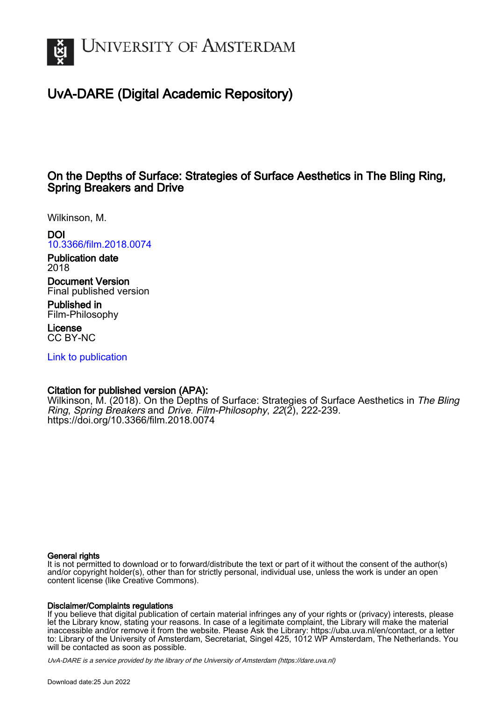

# UvA-DARE (Digital Academic Repository)

# On the Depths of Surface: Strategies of Surface Aesthetics in The Bling Ring, Spring Breakers and Drive

Wilkinson, M.

## DOI

[10.3366/film.2018.0074](https://doi.org/10.3366/film.2018.0074)

Publication date 2018

Document Version Final published version

Published in Film-Philosophy

License CC BY-NC

[Link to publication](https://dare.uva.nl/personal/pure/en/publications/on-the-depths-of-surface-strategies-of-surface-aesthetics-in-the-bling-ring-spring-breakers-and-drive(f271a783-b88c-4475-b5b2-78540d8bc518).html)

## Citation for published version (APA):

Wilkinson, M. (2018). On the Depths of Surface: Strategies of Surface Aesthetics in The Bling Ring, Spring Breakers and Drive. Film-Philosophy, 22(2), 222-239. <https://doi.org/10.3366/film.2018.0074>

### General rights

It is not permitted to download or to forward/distribute the text or part of it without the consent of the author(s) and/or copyright holder(s), other than for strictly personal, individual use, unless the work is under an open content license (like Creative Commons).

### Disclaimer/Complaints regulations

If you believe that digital publication of certain material infringes any of your rights or (privacy) interests, please let the Library know, stating your reasons. In case of a legitimate complaint, the Library will make the material inaccessible and/or remove it from the website. Please Ask the Library: https://uba.uva.nl/en/contact, or a letter to: Library of the University of Amsterdam, Secretariat, Singel 425, 1012 WP Amsterdam, The Netherlands. You will be contacted as soon as possible.

UvA-DARE is a service provided by the library of the University of Amsterdam (http*s*://dare.uva.nl)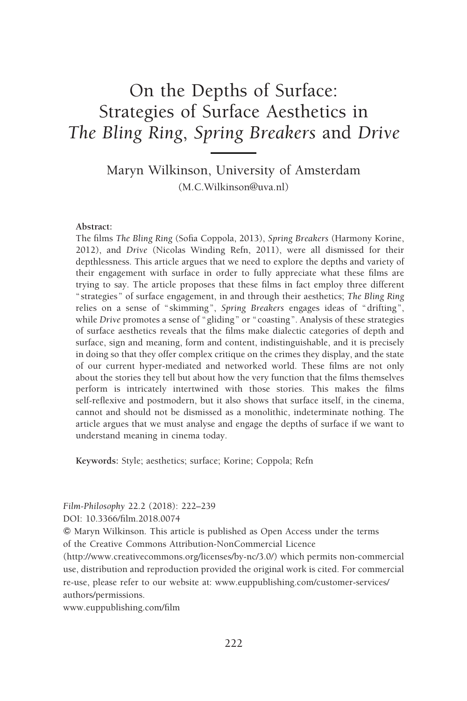# On the Depths of Surface: Strategies of Surface Aesthetics in The Bling Ring, Spring Breakers and Drive

Maryn Wilkinson, University of Amsterdam (M.C.Wilkinson@uva.nl)

#### Abstract:

The films The Bling Ring (Sofia Coppola, 2013), Spring Breakers (Harmony Korine, 2012), and Drive (Nicolas Winding Refn, 2011), were all dismissed for their depthlessness. This article argues that we need to explore the depths and variety of their engagement with surface in order to fully appreciate what these films are trying to say. The article proposes that these films in fact employ three different " strategies " of surface engagement, in and through their aesthetics; The Bling Ring relies on a sense of " skimming", Spring Breakers engages ideas of " drifting", while Drive promotes a sense of "gliding" or "coasting". Analysis of these strategies of surface aesthetics reveals that the films make dialectic categories of depth and surface, sign and meaning, form and content, indistinguishable, and it is precisely in doing so that they offer complex critique on the crimes they display, and the state of our current hyper-mediated and networked world. These films are not only about the stories they tell but about how the very function that the films themselves perform is intricately intertwined with those stories. This makes the films self-reflexive and postmodern, but it also shows that surface itself, in the cinema, cannot and should not be dismissed as a monolithic, indeterminate nothing. The article argues that we must analyse and engage the depths of surface if we want to understand meaning in cinema today.

Keywords: Style; aesthetics; surface; Korine; Coppola; Refn

Film-Philosophy 22.2 (2018): 222–239

DOI: 10.3366/film.2018.0074

*f* Maryn Wilkinson. This article is published as Open Access under the terms of the Creative Commons Attribution-NonCommercial Licence

(http://www.creativecommons.org/licenses/by-nc/3.0/) which permits non-commercial use, distribution and reproduction provided the original work is cited. For commercial re-use, please refer to our website at: www.euppublishing.com/customer-services/ authors/permissions.

www.euppublishing.com/film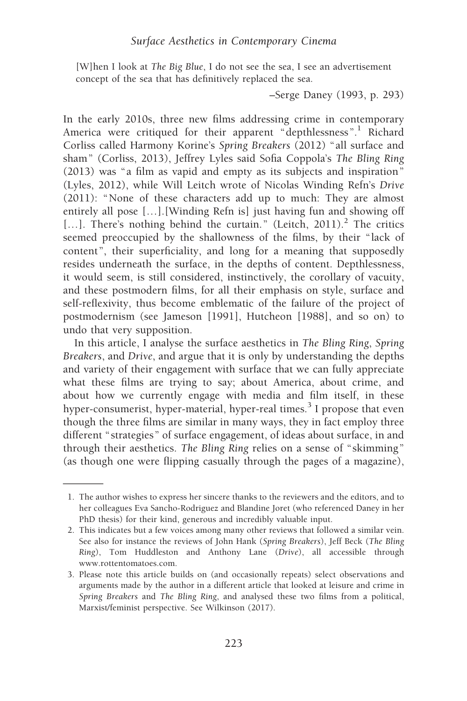[W]hen I look at The Big Blue, I do not see the sea, I see an advertisement concept of the sea that has definitively replaced the sea.

–Serge Daney (1993, p. 293)

In the early 2010s, three new films addressing crime in contemporary America were critiqued for their apparent "depthlessness".<sup>1</sup> Richard Corliss called Harmony Korine's Spring Breakers (2012) "all surface and sham" (Corliss, 2013), Jeffrey Lyles said Sofia Coppola's The Bling Ring (2013) was "a film as vapid and empty as its subjects and inspiration" (Lyles, 2012), while Will Leitch wrote of Nicolas Winding Refn's Drive (2011): "None of these characters add up to much: They are almost entirely all pose […].[Winding Refn is] just having fun and showing off [...]. There's nothing behind the curtain." (Leitch, 2011).<sup>2</sup> The critics seemed preoccupied by the shallowness of the films, by their "lack of content", their superficiality, and long for a meaning that supposedly resides underneath the surface, in the depths of content. Depthlessness, it would seem, is still considered, instinctively, the corollary of vacuity, and these postmodern films, for all their emphasis on style, surface and self-reflexivity, thus become emblematic of the failure of the project of postmodernism (see Jameson [1991], Hutcheon [1988], and so on) to undo that very supposition.

In this article, I analyse the surface aesthetics in The Bling Ring, Spring Breakers, and Drive, and argue that it is only by understanding the depths and variety of their engagement with surface that we can fully appreciate what these films are trying to say; about America, about crime, and about how we currently engage with media and film itself, in these hyper-consumerist, hyper-material, hyper-real times. $3$  I propose that even though the three films are similar in many ways, they in fact employ three different "strategies" of surface engagement, of ideas about surface, in and through their aesthetics. The Bling Ring relies on a sense of "skimming" (as though one were flipping casually through the pages of a magazine),

<sup>1.</sup> The author wishes to express her sincere thanks to the reviewers and the editors, and to her colleagues Eva Sancho-Rodriguez and Blandine Joret (who referenced Daney in her PhD thesis) for their kind, generous and incredibly valuable input.

<sup>2.</sup> This indicates but a few voices among many other reviews that followed a similar vein. See also for instance the reviews of John Hank (Spring Breakers), Jeff Beck (The Bling Ring), Tom Huddleston and Anthony Lane (Drive), all accessible through www.rottentomatoes.com.

<sup>3.</sup> Please note this article builds on (and occasionally repeats) select observations and arguments made by the author in a different article that looked at leisure and crime in Spring Breakers and The Bling Ring, and analysed these two films from a political, Marxist/feminist perspective. See Wilkinson (2017).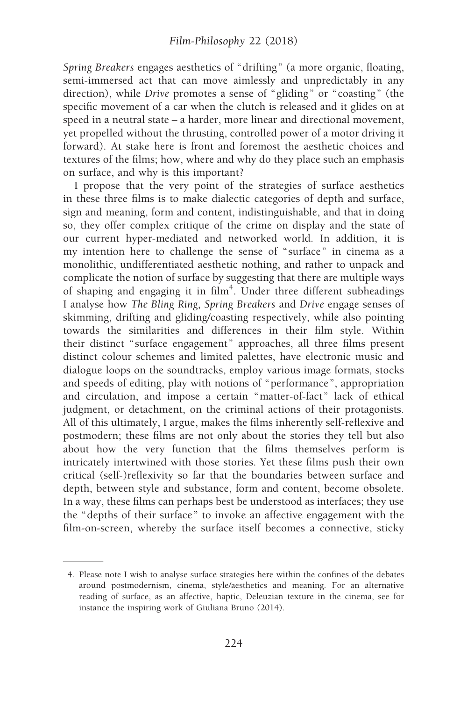Spring Breakers engages aesthetics of "drifting" (a more organic, floating, semi-immersed act that can move aimlessly and unpredictably in any direction), while Drive promotes a sense of "gliding" or "coasting" (the specific movement of a car when the clutch is released and it glides on at speed in a neutral state – a harder, more linear and directional movement, yet propelled without the thrusting, controlled power of a motor driving it forward). At stake here is front and foremost the aesthetic choices and textures of the films; how, where and why do they place such an emphasis on surface, and why is this important?

I propose that the very point of the strategies of surface aesthetics in these three films is to make dialectic categories of depth and surface, sign and meaning, form and content, indistinguishable, and that in doing so, they offer complex critique of the crime on display and the state of our current hyper-mediated and networked world. In addition, it is my intention here to challenge the sense of "surface" in cinema as a monolithic, undifferentiated aesthetic nothing, and rather to unpack and complicate the notion of surface by suggesting that there are multiple ways of shaping and engaging it in film<sup>4</sup>. Under three different subheadings I analyse how The Bling Ring, Spring Breakers and Drive engage senses of skimming, drifting and gliding/coasting respectively, while also pointing towards the similarities and differences in their film style. Within their distinct "surface engagement" approaches, all three films present distinct colour schemes and limited palettes, have electronic music and dialogue loops on the soundtracks, employ various image formats, stocks and speeds of editing, play with notions of "performance", appropriation and circulation, and impose a certain "matter-of-fact" lack of ethical judgment, or detachment, on the criminal actions of their protagonists. All of this ultimately, I argue, makes the films inherently self-reflexive and postmodern; these films are not only about the stories they tell but also about how the very function that the films themselves perform is intricately intertwined with those stories. Yet these films push their own critical (self-)reflexivity so far that the boundaries between surface and depth, between style and substance, form and content, become obsolete. In a way, these films can perhaps best be understood as interfaces; they use the "depths of their surface" to invoke an affective engagement with the film-on-screen, whereby the surface itself becomes a connective, sticky

<sup>4.</sup> Please note I wish to analyse surface strategies here within the confines of the debates around postmodernism, cinema, style/aesthetics and meaning. For an alternative reading of surface, as an affective, haptic, Deleuzian texture in the cinema, see for instance the inspiring work of Giuliana Bruno (2014).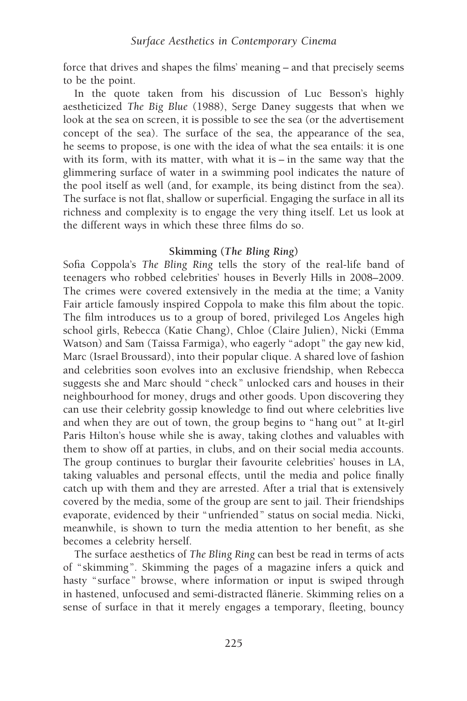force that drives and shapes the films' meaning – and that precisely seems to be the point.

In the quote taken from his discussion of Luc Besson's highly aestheticized The Big Blue (1988), Serge Daney suggests that when we look at the sea on screen, it is possible to see the sea (or the advertisement concept of the sea). The surface of the sea, the appearance of the sea, he seems to propose, is one with the idea of what the sea entails: it is one with its form, with its matter, with what it is – in the same way that the glimmering surface of water in a swimming pool indicates the nature of the pool itself as well (and, for example, its being distinct from the sea). The surface is not flat, shallow or superficial. Engaging the surface in all its richness and complexity is to engage the very thing itself. Let us look at the different ways in which these three films do so.

### Skimming (The Bling Ring)

Sofia Coppola's The Bling Ring tells the story of the real-life band of teenagers who robbed celebrities' houses in Beverly Hills in 2008–2009. The crimes were covered extensively in the media at the time; a Vanity Fair article famously inspired Coppola to make this film about the topic. The film introduces us to a group of bored, privileged Los Angeles high school girls, Rebecca (Katie Chang), Chloe (Claire Julien), Nicki (Emma Watson) and Sam (Taissa Farmiga), who eagerly "adopt" the gay new kid, Marc (Israel Broussard), into their popular clique. A shared love of fashion and celebrities soon evolves into an exclusive friendship, when Rebecca suggests she and Marc should "check" unlocked cars and houses in their neighbourhood for money, drugs and other goods. Upon discovering they can use their celebrity gossip knowledge to find out where celebrities live and when they are out of town, the group begins to "hang out" at It-girl Paris Hilton's house while she is away, taking clothes and valuables with them to show off at parties, in clubs, and on their social media accounts. The group continues to burglar their favourite celebrities' houses in LA, taking valuables and personal effects, until the media and police finally catch up with them and they are arrested. After a trial that is extensively covered by the media, some of the group are sent to jail. Their friendships evaporate, evidenced by their "unfriended" status on social media. Nicki, meanwhile, is shown to turn the media attention to her benefit, as she becomes a celebrity herself.

The surface aesthetics of The Bling Ring can best be read in terms of acts of " skimming". Skimming the pages of a magazine infers a quick and hasty "surface" browse, where information or input is swiped through in hastened, unfocused and semi-distracted flanerie. Skimming relies on a sense of surface in that it merely engages a temporary, fleeting, bouncy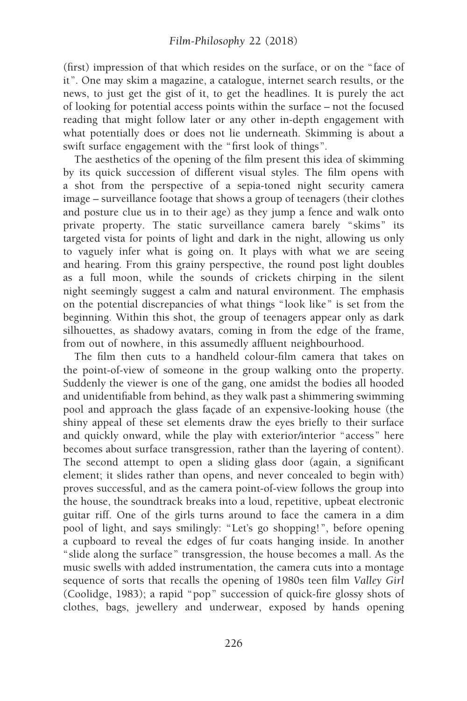(first) impression of that which resides on the surface, or on the "face of it". One may skim a magazine, a catalogue, internet search results, or the news, to just get the gist of it, to get the headlines. It is purely the act of looking for potential access points within the surface – not the focused reading that might follow later or any other in-depth engagement with what potentially does or does not lie underneath. Skimming is about a swift surface engagement with the "first look of things".

The aesthetics of the opening of the film present this idea of skimming by its quick succession of different visual styles. The film opens with a shot from the perspective of a sepia-toned night security camera image – surveillance footage that shows a group of teenagers (their clothes and posture clue us in to their age) as they jump a fence and walk onto private property. The static surveillance camera barely " skims" its targeted vista for points of light and dark in the night, allowing us only to vaguely infer what is going on. It plays with what we are seeing and hearing. From this grainy perspective, the round post light doubles as a full moon, while the sounds of crickets chirping in the silent night seemingly suggest a calm and natural environment. The emphasis on the potential discrepancies of what things "look like" is set from the beginning. Within this shot, the group of teenagers appear only as dark silhouettes, as shadowy avatars, coming in from the edge of the frame, from out of nowhere, in this assumedly affluent neighbourhood.

The film then cuts to a handheld colour-film camera that takes on the point-of-view of someone in the group walking onto the property. Suddenly the viewer is one of the gang, one amidst the bodies all hooded and unidentifiable from behind, as they walk past a shimmering swimming pool and approach the glass façade of an expensive-looking house (the shiny appeal of these set elements draw the eyes briefly to their surface and quickly onward, while the play with exterior/interior "access" here becomes about surface transgression, rather than the layering of content). The second attempt to open a sliding glass door (again, a significant element; it slides rather than opens, and never concealed to begin with) proves successful, and as the camera point-of-view follows the group into the house, the soundtrack breaks into a loud, repetitive, upbeat electronic guitar riff. One of the girls turns around to face the camera in a dim pool of light, and says smilingly: "Let's go shopping!", before opening a cupboard to reveal the edges of fur coats hanging inside. In another " slide along the surface" transgression, the house becomes a mall. As the music swells with added instrumentation, the camera cuts into a montage sequence of sorts that recalls the opening of 1980s teen film Valley Girl (Coolidge, 1983); a rapid "pop" succession of quick-fire glossy shots of clothes, bags, jewellery and underwear, exposed by hands opening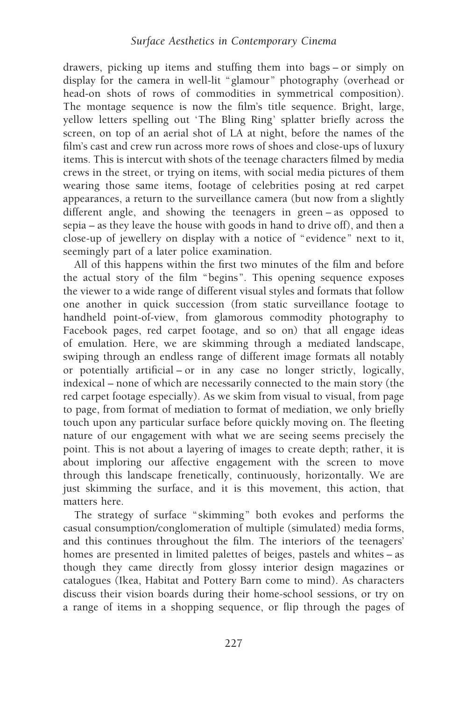drawers, picking up items and stuffing them into bags – or simply on display for the camera in well-lit "glamour" photography (overhead or head-on shots of rows of commodities in symmetrical composition). The montage sequence is now the film's title sequence. Bright, large, yellow letters spelling out 'The Bling Ring ' splatter briefly across the screen, on top of an aerial shot of LA at night, before the names of the film's cast and crew run across more rows of shoes and close-ups of luxury items. This is intercut with shots of the teenage characters filmed by media crews in the street, or trying on items, with social media pictures of them wearing those same items, footage of celebrities posing at red carpet appearances, a return to the surveillance camera (but now from a slightly different angle, and showing the teenagers in green – as opposed to sepia – as they leave the house with goods in hand to drive off), and then a close-up of jewellery on display with a notice of "evidence" next to it, seemingly part of a later police examination.

All of this happens within the first two minutes of the film and before the actual story of the film "begins". This opening sequence exposes the viewer to a wide range of different visual styles and formats that follow one another in quick succession (from static surveillance footage to handheld point-of-view, from glamorous commodity photography to Facebook pages, red carpet footage, and so on) that all engage ideas of emulation. Here, we are skimming through a mediated landscape, swiping through an endless range of different image formats all notably or potentially artificial – or in any case no longer strictly, logically, indexical – none of which are necessarily connected to the main story (the red carpet footage especially). As we skim from visual to visual, from page to page, from format of mediation to format of mediation, we only briefly touch upon any particular surface before quickly moving on. The fleeting nature of our engagement with what we are seeing seems precisely the point. This is not about a layering of images to create depth; rather, it is about imploring our affective engagement with the screen to move through this landscape frenetically, continuously, horizontally. We are just skimming the surface, and it is this movement, this action, that matters here.

The strategy of surface " skimming" both evokes and performs the casual consumption/conglomeration of multiple (simulated) media forms, and this continues throughout the film. The interiors of the teenagers' homes are presented in limited palettes of beiges, pastels and whites – as though they came directly from glossy interior design magazines or catalogues (Ikea, Habitat and Pottery Barn come to mind). As characters discuss their vision boards during their home-school sessions, or try on a range of items in a shopping sequence, or flip through the pages of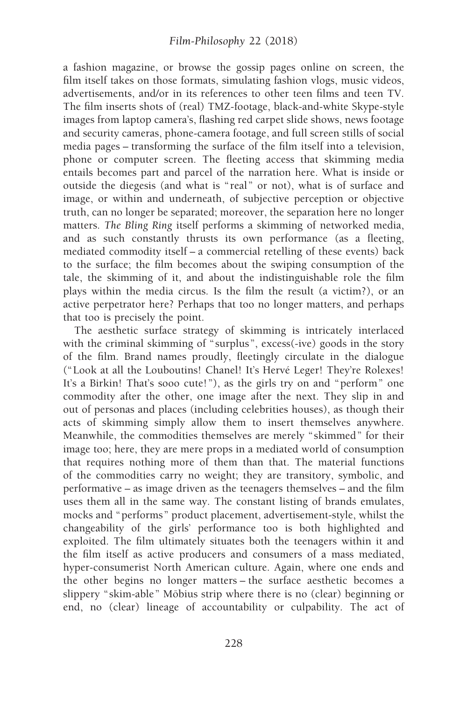a fashion magazine, or browse the gossip pages online on screen, the film itself takes on those formats, simulating fashion vlogs, music videos, advertisements, and/or in its references to other teen films and teen TV. The film inserts shots of (real) TMZ-footage, black-and-white Skype-style images from laptop camera's, flashing red carpet slide shows, news footage and security cameras, phone-camera footage, and full screen stills of social media pages – transforming the surface of the film itself into a television, phone or computer screen. The fleeting access that skimming media entails becomes part and parcel of the narration here. What is inside or outside the diegesis (and what is " real" or not), what is of surface and image, or within and underneath, of subjective perception or objective truth, can no longer be separated; moreover, the separation here no longer matters. The Bling Ring itself performs a skimming of networked media, and as such constantly thrusts its own performance (as a fleeting, mediated commodity itself – a commercial retelling of these events) back to the surface; the film becomes about the swiping consumption of the tale, the skimming of it, and about the indistinguishable role the film plays within the media circus. Is the film the result (a victim?), or an active perpetrator here? Perhaps that too no longer matters, and perhaps that too is precisely the point.

The aesthetic surface strategy of skimming is intricately interlaced with the criminal skimming of "surplus", excess(-ive) goods in the story of the film. Brand names proudly, fleetingly circulate in the dialogue ("Look at all the Louboutins! Chanel! It's Hervé Leger! They're Rolexes! It's a Birkin! That's sooo cute!"), as the girls try on and "perform" one commodity after the other, one image after the next. They slip in and out of personas and places (including celebrities houses), as though their acts of skimming simply allow them to insert themselves anywhere. Meanwhile, the commodities themselves are merely " skimmed" for their image too; here, they are mere props in a mediated world of consumption that requires nothing more of them than that. The material functions of the commodities carry no weight; they are transitory, symbolic, and performative – as image driven as the teenagers themselves – and the film uses them all in the same way. The constant listing of brands emulates, mocks and "performs" product placement, advertisement-style, whilst the changeability of the girls' performance too is both highlighted and exploited. The film ultimately situates both the teenagers within it and the film itself as active producers and consumers of a mass mediated, hyper-consumerist North American culture. Again, where one ends and the other begins no longer matters – the surface aesthetic becomes a slippery "skim-able" Möbius strip where there is no (clear) beginning or end, no (clear) lineage of accountability or culpability. The act of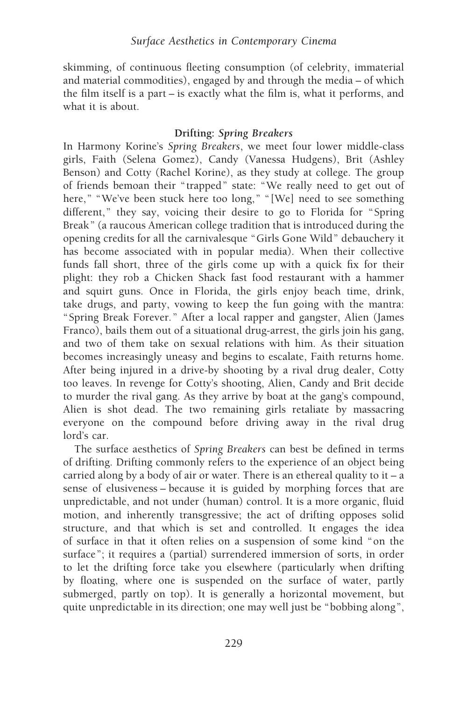skimming, of continuous fleeting consumption (of celebrity, immaterial and material commodities), engaged by and through the media – of which the film itself is a part – is exactly what the film is, what it performs, and what it is about.

### Drifting: Spring Breakers

In Harmony Korine's Spring Breakers, we meet four lower middle-class girls, Faith (Selena Gomez), Candy (Vanessa Hudgens), Brit (Ashley Benson) and Cotty (Rachel Korine), as they study at college. The group of friends bemoan their " trapped" state: "We really need to get out of here," "We've been stuck here too long," "[We] need to see something different," they say, voicing their desire to go to Florida for "Spring Break" (a raucous American college tradition that is introduced during the opening credits for all the carnivalesque "Girls Gone Wild" debauchery it has become associated with in popular media). When their collective funds fall short, three of the girls come up with a quick fix for their plight: they rob a Chicken Shack fast food restaurant with a hammer and squirt guns. Once in Florida, the girls enjoy beach time, drink, take drugs, and party, vowing to keep the fun going with the mantra: "Spring Break Forever." After a local rapper and gangster, Alien (James Franco), bails them out of a situational drug-arrest, the girls join his gang, and two of them take on sexual relations with him. As their situation becomes increasingly uneasy and begins to escalate, Faith returns home. After being injured in a drive-by shooting by a rival drug dealer, Cotty too leaves. In revenge for Cotty's shooting, Alien, Candy and Brit decide to murder the rival gang. As they arrive by boat at the gang's compound, Alien is shot dead. The two remaining girls retaliate by massacring everyone on the compound before driving away in the rival drug lord's car.

The surface aesthetics of Spring Breakers can best be defined in terms of drifting. Drifting commonly refers to the experience of an object being carried along by a body of air or water. There is an ethereal quality to  $it - a$ sense of elusiveness – because it is guided by morphing forces that are unpredictable, and not under (human) control. It is a more organic, fluid motion, and inherently transgressive; the act of drifting opposes solid structure, and that which is set and controlled. It engages the idea of surface in that it often relies on a suspension of some kind "on the surface"; it requires a (partial) surrendered immersion of sorts, in order to let the drifting force take you elsewhere (particularly when drifting by floating, where one is suspended on the surface of water, partly submerged, partly on top). It is generally a horizontal movement, but quite unpredictable in its direction; one may well just be "bobbing along",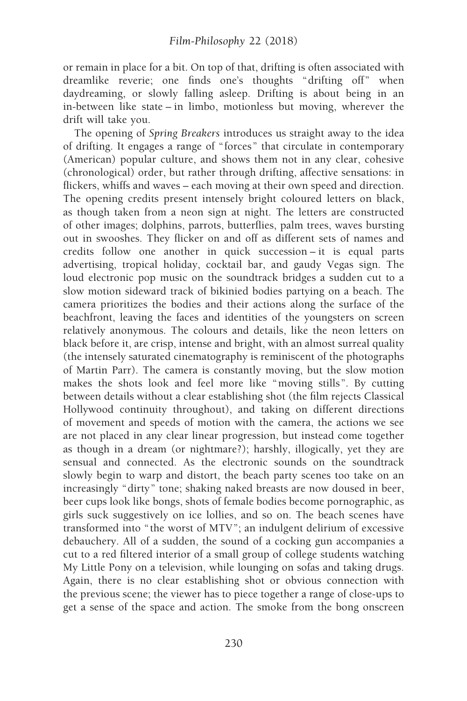or remain in place for a bit. On top of that, drifting is often associated with dreamlike reverie; one finds one's thoughts "drifting off" when daydreaming, or slowly falling asleep. Drifting is about being in an in-between like state – in limbo, motionless but moving, wherever the drift will take you.

The opening of Spring Breakers introduces us straight away to the idea of drifting. It engages a range of "forces" that circulate in contemporary (American) popular culture, and shows them not in any clear, cohesive (chronological) order, but rather through drifting, affective sensations: in flickers, whiffs and waves – each moving at their own speed and direction. The opening credits present intensely bright coloured letters on black, as though taken from a neon sign at night. The letters are constructed of other images; dolphins, parrots, butterflies, palm trees, waves bursting out in swooshes. They flicker on and off as different sets of names and credits follow one another in quick succession – it is equal parts advertising, tropical holiday, cocktail bar, and gaudy Vegas sign. The loud electronic pop music on the soundtrack bridges a sudden cut to a slow motion sideward track of bikinied bodies partying on a beach. The camera prioritizes the bodies and their actions along the surface of the beachfront, leaving the faces and identities of the youngsters on screen relatively anonymous. The colours and details, like the neon letters on black before it, are crisp, intense and bright, with an almost surreal quality (the intensely saturated cinematography is reminiscent of the photographs of Martin Parr). The camera is constantly moving, but the slow motion makes the shots look and feel more like "moving stills". By cutting between details without a clear establishing shot (the film rejects Classical Hollywood continuity throughout), and taking on different directions of movement and speeds of motion with the camera, the actions we see are not placed in any clear linear progression, but instead come together as though in a dream (or nightmare?); harshly, illogically, yet they are sensual and connected. As the electronic sounds on the soundtrack slowly begin to warp and distort, the beach party scenes too take on an increasingly "dirty" tone; shaking naked breasts are now doused in beer, beer cups look like bongs, shots of female bodies become pornographic, as girls suck suggestively on ice lollies, and so on. The beach scenes have transformed into " the worst of MTV"; an indulgent delirium of excessive debauchery. All of a sudden, the sound of a cocking gun accompanies a cut to a red filtered interior of a small group of college students watching My Little Pony on a television, while lounging on sofas and taking drugs. Again, there is no clear establishing shot or obvious connection with the previous scene; the viewer has to piece together a range of close-ups to get a sense of the space and action. The smoke from the bong onscreen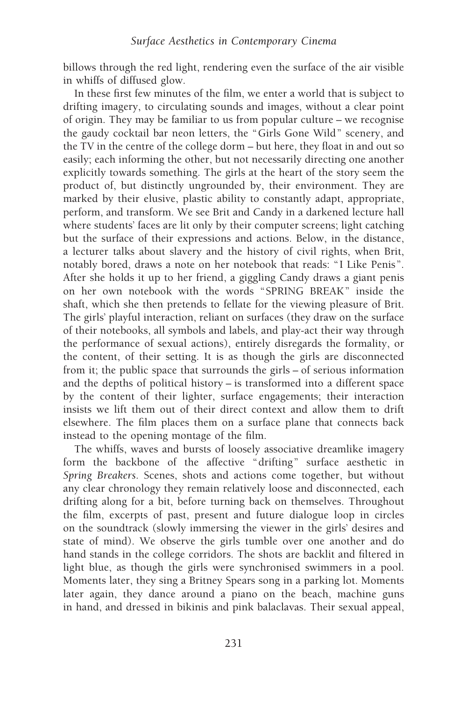billows through the red light, rendering even the surface of the air visible in whiffs of diffused glow.

In these first few minutes of the film, we enter a world that is subject to drifting imagery, to circulating sounds and images, without a clear point of origin. They may be familiar to us from popular culture – we recognise the gaudy cocktail bar neon letters, the "Girls Gone Wild" scenery, and the TV in the centre of the college dorm – but here, they float in and out so easily; each informing the other, but not necessarily directing one another explicitly towards something. The girls at the heart of the story seem the product of, but distinctly ungrounded by, their environment. They are marked by their elusive, plastic ability to constantly adapt, appropriate, perform, and transform. We see Brit and Candy in a darkened lecture hall where students' faces are lit only by their computer screens; light catching but the surface of their expressions and actions. Below, in the distance, a lecturer talks about slavery and the history of civil rights, when Brit, notably bored, draws a note on her notebook that reads: " I Like Penis". After she holds it up to her friend, a giggling Candy draws a giant penis on her own notebook with the words "SPRING BREAK" inside the shaft, which she then pretends to fellate for the viewing pleasure of Brit. The girls' playful interaction, reliant on surfaces (they draw on the surface of their notebooks, all symbols and labels, and play-act their way through the performance of sexual actions), entirely disregards the formality, or the content, of their setting. It is as though the girls are disconnected from it; the public space that surrounds the girls – of serious information and the depths of political history – is transformed into a different space by the content of their lighter, surface engagements; their interaction insists we lift them out of their direct context and allow them to drift elsewhere. The film places them on a surface plane that connects back instead to the opening montage of the film.

The whiffs, waves and bursts of loosely associative dreamlike imagery form the backbone of the affective "drifting" surface aesthetic in Spring Breakers. Scenes, shots and actions come together, but without any clear chronology they remain relatively loose and disconnected, each drifting along for a bit, before turning back on themselves. Throughout the film, excerpts of past, present and future dialogue loop in circles on the soundtrack (slowly immersing the viewer in the girls' desires and state of mind). We observe the girls tumble over one another and do hand stands in the college corridors. The shots are backlit and filtered in light blue, as though the girls were synchronised swimmers in a pool. Moments later, they sing a Britney Spears song in a parking lot. Moments later again, they dance around a piano on the beach, machine guns in hand, and dressed in bikinis and pink balaclavas. Their sexual appeal,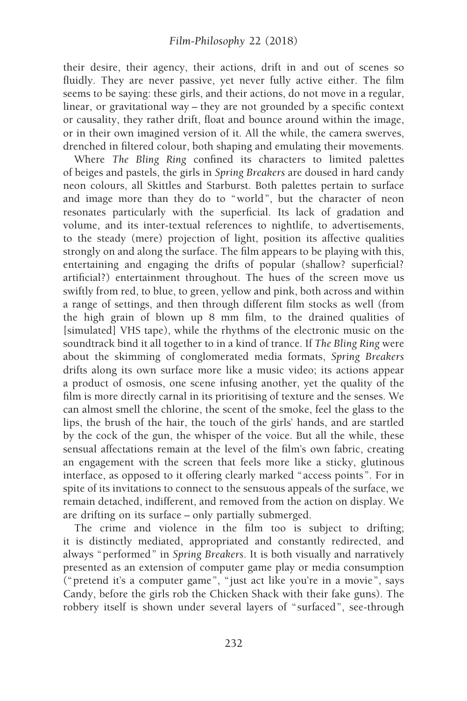their desire, their agency, their actions, drift in and out of scenes so fluidly. They are never passive, yet never fully active either. The film seems to be saying: these girls, and their actions, do not move in a regular, linear, or gravitational way – they are not grounded by a specific context or causality, they rather drift, float and bounce around within the image, or in their own imagined version of it. All the while, the camera swerves, drenched in filtered colour, both shaping and emulating their movements.

Where The Bling Ring confined its characters to limited palettes of beiges and pastels, the girls in Spring Breakers are doused in hard candy neon colours, all Skittles and Starburst. Both palettes pertain to surface and image more than they do to "world", but the character of neon resonates particularly with the superficial. Its lack of gradation and volume, and its inter-textual references to nightlife, to advertisements, to the steady (mere) projection of light, position its affective qualities strongly on and along the surface. The film appears to be playing with this, entertaining and engaging the drifts of popular (shallow? superficial? artificial?) entertainment throughout. The hues of the screen move us swiftly from red, to blue, to green, yellow and pink, both across and within a range of settings, and then through different film stocks as well (from the high grain of blown up 8 mm film, to the drained qualities of [simulated] VHS tape), while the rhythms of the electronic music on the soundtrack bind it all together to in a kind of trance. If The Bling Ring were about the skimming of conglomerated media formats, Spring Breakers drifts along its own surface more like a music video; its actions appear a product of osmosis, one scene infusing another, yet the quality of the film is more directly carnal in its prioritising of texture and the senses. We can almost smell the chlorine, the scent of the smoke, feel the glass to the lips, the brush of the hair, the touch of the girls' hands, and are startled by the cock of the gun, the whisper of the voice. But all the while, these sensual affectations remain at the level of the film's own fabric, creating an engagement with the screen that feels more like a sticky, glutinous interface, as opposed to it offering clearly marked "access points". For in spite of its invitations to connect to the sensuous appeals of the surface, we remain detached, indifferent, and removed from the action on display. We are drifting on its surface – only partially submerged.

The crime and violence in the film too is subject to drifting; it is distinctly mediated, appropriated and constantly redirected, and always "performed" in Spring Breakers. It is both visually and narratively presented as an extension of computer game play or media consumption ("pretend it's a computer game", "just act like you're in a movie", says Candy, before the girls rob the Chicken Shack with their fake guns). The robbery itself is shown under several layers of " surfaced", see-through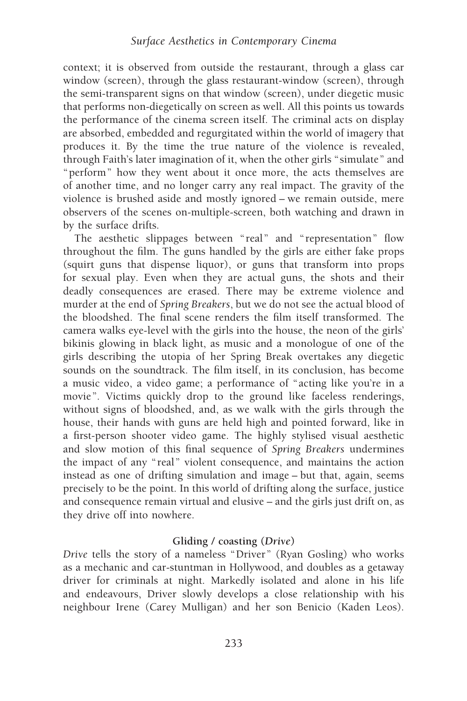context; it is observed from outside the restaurant, through a glass car window (screen), through the glass restaurant-window (screen), through the semi-transparent signs on that window (screen), under diegetic music that performs non-diegetically on screen as well. All this points us towards the performance of the cinema screen itself. The criminal acts on display are absorbed, embedded and regurgitated within the world of imagery that produces it. By the time the true nature of the violence is revealed, through Faith's later imagination of it, when the other girls "simulate" and "perform" how they went about it once more, the acts themselves are of another time, and no longer carry any real impact. The gravity of the violence is brushed aside and mostly ignored – we remain outside, mere observers of the scenes on-multiple-screen, both watching and drawn in by the surface drifts.

The aesthetic slippages between "real" and "representation" flow throughout the film. The guns handled by the girls are either fake props (squirt guns that dispense liquor), or guns that transform into props for sexual play. Even when they are actual guns, the shots and their deadly consequences are erased. There may be extreme violence and murder at the end of Spring Breakers, but we do not see the actual blood of the bloodshed. The final scene renders the film itself transformed. The camera walks eye-level with the girls into the house, the neon of the girls' bikinis glowing in black light, as music and a monologue of one of the girls describing the utopia of her Spring Break overtakes any diegetic sounds on the soundtrack. The film itself, in its conclusion, has become a music video, a video game; a performance of "acting like you're in a movie". Victims quickly drop to the ground like faceless renderings, without signs of bloodshed, and, as we walk with the girls through the house, their hands with guns are held high and pointed forward, like in a first-person shooter video game. The highly stylised visual aesthetic and slow motion of this final sequence of Spring Breakers undermines the impact of any " real" violent consequence, and maintains the action instead as one of drifting simulation and image – but that, again, seems precisely to be the point. In this world of drifting along the surface, justice and consequence remain virtual and elusive – and the girls just drift on, as they drive off into nowhere.

## Gliding / coasting (Drive)

Drive tells the story of a nameless "Driver" (Ryan Gosling) who works as a mechanic and car-stuntman in Hollywood, and doubles as a getaway driver for criminals at night. Markedly isolated and alone in his life and endeavours, Driver slowly develops a close relationship with his neighbour Irene (Carey Mulligan) and her son Benicio (Kaden Leos).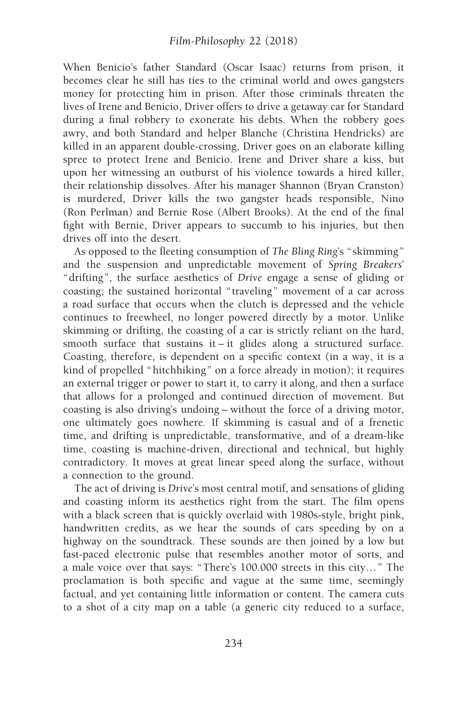When Benicio's father Standard (Oscar Isaac) returns from prison, it becomes clear he still has ties to the criminal world and owes gangsters money for protecting him in prison. After those criminals threaten the lives of Irene and Benicio, Driver offers to drive a getaway car for Standard during a final robbery to exonerate his debts. When the robbery goes awry, and both Standard and helper Blanche (Christina Hendricks) are killed in an apparent double-crossing, Driver goes on an elaborate killing spree to protect Irene and Benicio. Irene and Driver share a kiss, but upon her witnessing an outburst of his violence towards a hired killer, their relationship dissolves. After his manager Shannon (Bryan Cranston) is murdered, Driver kills the two gangster heads responsible, Nino (Ron Perlman) and Bernie Rose (Albert Brooks). At the end of the final fight with Bernie, Driver appears to succumb to his injuries, but then drives off into the desert.

As opposed to the fleeting consumption of The Bling Ring's "skimming" and the suspension and unpredictable movement of Spring Breakers' "drifting", the surface aesthetics of Drive engage a sense of gliding or coasting; the sustained horizontal " traveling" movement of a car across a road surface that occurs when the clutch is depressed and the vehicle continues to freewheel, no longer powered directly by a motor. Unlike skimming or drifting, the coasting of a car is strictly reliant on the hard, smooth surface that sustains it – it glides along a structured surface. Coasting, therefore, is dependent on a specific context (in a way, it is a kind of propelled "hitchhiking" on a force already in motion); it requires an external trigger or power to start it, to carry it along, and then a surface that allows for a prolonged and continued direction of movement. But coasting is also driving's undoing – without the force of a driving motor, one ultimately goes nowhere. If skimming is casual and of a frenetic time, and drifting is unpredictable, transformative, and of a dream-like time, coasting is machine-driven, directional and technical, but highly contradictory. It moves at great linear speed along the surface, without a connection to the ground.

The act of driving is Drive's most central motif, and sensations of gliding and coasting inform its aesthetics right from the start. The film opens with a black screen that is quickly overlaid with 1980s-style, bright pink, handwritten credits, as we hear the sounds of cars speeding by on a highway on the soundtrack. These sounds are then joined by a low but fast-paced electronic pulse that resembles another motor of sorts, and a male voice over that says: "There's 100.000 streets in this city…" The proclamation is both specific and vague at the same time, seemingly factual, and yet containing little information or content. The camera cuts to a shot of a city map on a table (a generic city reduced to a surface,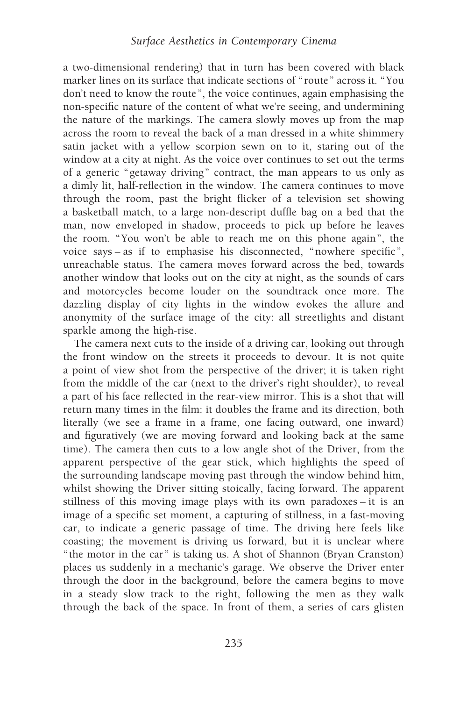a two-dimensional rendering) that in turn has been covered with black marker lines on its surface that indicate sections of " route" across it. "You don't need to know the route", the voice continues, again emphasising the non-specific nature of the content of what we're seeing, and undermining the nature of the markings. The camera slowly moves up from the map across the room to reveal the back of a man dressed in a white shimmery satin jacket with a yellow scorpion sewn on to it, staring out of the window at a city at night. As the voice over continues to set out the terms of a generic "getaway driving" contract, the man appears to us only as a dimly lit, half-reflection in the window. The camera continues to move through the room, past the bright flicker of a television set showing a basketball match, to a large non-descript duffle bag on a bed that the man, now enveloped in shadow, proceeds to pick up before he leaves the room. "You won't be able to reach me on this phone again", the voice says – as if to emphasise his disconnected, "nowhere specific", unreachable status. The camera moves forward across the bed, towards another window that looks out on the city at night, as the sounds of cars and motorcycles become louder on the soundtrack once more. The dazzling display of city lights in the window evokes the allure and anonymity of the surface image of the city: all streetlights and distant sparkle among the high-rise.

The camera next cuts to the inside of a driving car, looking out through the front window on the streets it proceeds to devour. It is not quite a point of view shot from the perspective of the driver; it is taken right from the middle of the car (next to the driver's right shoulder), to reveal a part of his face reflected in the rear-view mirror. This is a shot that will return many times in the film: it doubles the frame and its direction, both literally (we see a frame in a frame, one facing outward, one inward) and figuratively (we are moving forward and looking back at the same time). The camera then cuts to a low angle shot of the Driver, from the apparent perspective of the gear stick, which highlights the speed of the surrounding landscape moving past through the window behind him, whilst showing the Driver sitting stoically, facing forward. The apparent stillness of this moving image plays with its own paradoxes – it is an image of a specific set moment, a capturing of stillness, in a fast-moving car, to indicate a generic passage of time. The driving here feels like coasting; the movement is driving us forward, but it is unclear where " the motor in the car" is taking us. A shot of Shannon (Bryan Cranston) places us suddenly in a mechanic's garage. We observe the Driver enter through the door in the background, before the camera begins to move in a steady slow track to the right, following the men as they walk through the back of the space. In front of them, a series of cars glisten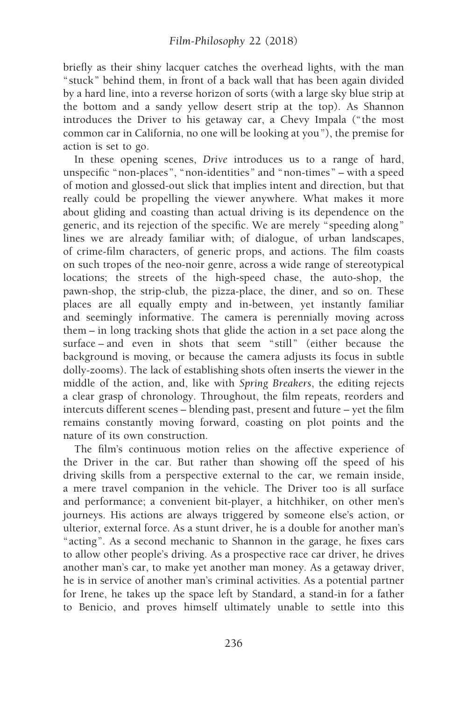briefly as their shiny lacquer catches the overhead lights, with the man " stuck" behind them, in front of a back wall that has been again divided by a hard line, into a reverse horizon of sorts (with a large sky blue strip at the bottom and a sandy yellow desert strip at the top). As Shannon introduces the Driver to his getaway car, a Chevy Impala (" the most common car in California, no one will be looking at you"), the premise for action is set to go.

In these opening scenes, Drive introduces us to a range of hard, unspecific "non-places", "non-identities" and "non-times" – with a speed of motion and glossed-out slick that implies intent and direction, but that really could be propelling the viewer anywhere. What makes it more about gliding and coasting than actual driving is its dependence on the generic, and its rejection of the specific. We are merely " speeding along" lines we are already familiar with; of dialogue, of urban landscapes, of crime-film characters, of generic props, and actions. The film coasts on such tropes of the neo-noir genre, across a wide range of stereotypical locations; the streets of the high-speed chase, the auto-shop, the pawn-shop, the strip-club, the pizza-place, the diner, and so on. These places are all equally empty and in-between, yet instantly familiar and seemingly informative. The camera is perennially moving across them – in long tracking shots that glide the action in a set pace along the surface – and even in shots that seem " still" (either because the background is moving, or because the camera adjusts its focus in subtle dolly-zooms). The lack of establishing shots often inserts the viewer in the middle of the action, and, like with Spring Breakers, the editing rejects a clear grasp of chronology. Throughout, the film repeats, reorders and intercuts different scenes – blending past, present and future – yet the film remains constantly moving forward, coasting on plot points and the nature of its own construction.

The film's continuous motion relies on the affective experience of the Driver in the car. But rather than showing off the speed of his driving skills from a perspective external to the car, we remain inside, a mere travel companion in the vehicle. The Driver too is all surface and performance; a convenient bit-player, a hitchhiker, on other men's journeys. His actions are always triggered by someone else's action, or ulterior, external force. As a stunt driver, he is a double for another man's "acting". As a second mechanic to Shannon in the garage, he fixes cars to allow other people's driving. As a prospective race car driver, he drives another man's car, to make yet another man money. As a getaway driver, he is in service of another man's criminal activities. As a potential partner for Irene, he takes up the space left by Standard, a stand-in for a father to Benicio, and proves himself ultimately unable to settle into this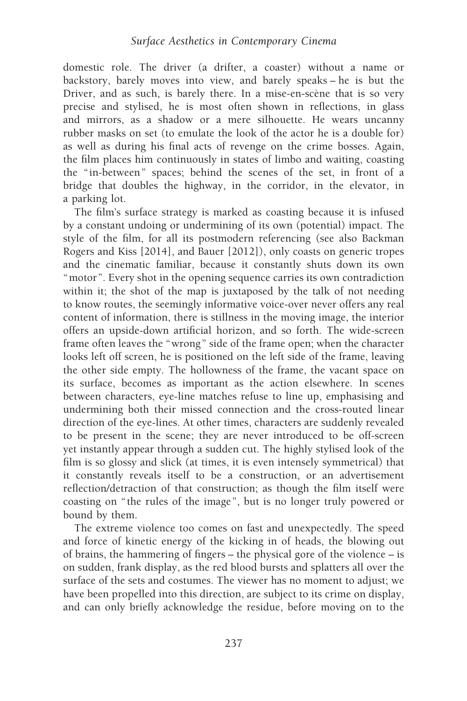domestic role. The driver (a drifter, a coaster) without a name or backstory, barely moves into view, and barely speaks – he is but the Driver, and as such, is barely there. In a mise-en-scène that is so very precise and stylised, he is most often shown in reflections, in glass and mirrors, as a shadow or a mere silhouette. He wears uncanny rubber masks on set (to emulate the look of the actor he is a double for) as well as during his final acts of revenge on the crime bosses. Again, the film places him continuously in states of limbo and waiting, coasting the "in-between" spaces; behind the scenes of the set, in front of a bridge that doubles the highway, in the corridor, in the elevator, in a parking lot.

The film's surface strategy is marked as coasting because it is infused by a constant undoing or undermining of its own (potential) impact. The style of the film, for all its postmodern referencing (see also Backman Rogers and Kiss [2014], and Bauer [2012]), only coasts on generic tropes and the cinematic familiar, because it constantly shuts down its own "motor". Every shot in the opening sequence carries its own contradiction within it; the shot of the map is juxtaposed by the talk of not needing to know routes, the seemingly informative voice-over never offers any real content of information, there is stillness in the moving image, the interior offers an upside-down artificial horizon, and so forth. The wide-screen frame often leaves the "wrong" side of the frame open; when the character looks left off screen, he is positioned on the left side of the frame, leaving the other side empty. The hollowness of the frame, the vacant space on its surface, becomes as important as the action elsewhere. In scenes between characters, eye-line matches refuse to line up, emphasising and undermining both their missed connection and the cross-routed linear direction of the eye-lines. At other times, characters are suddenly revealed to be present in the scene; they are never introduced to be off-screen yet instantly appear through a sudden cut. The highly stylised look of the film is so glossy and slick (at times, it is even intensely symmetrical) that it constantly reveals itself to be a construction, or an advertisement reflection/detraction of that construction; as though the film itself were coasting on " the rules of the image", but is no longer truly powered or bound by them.

The extreme violence too comes on fast and unexpectedly. The speed and force of kinetic energy of the kicking in of heads, the blowing out of brains, the hammering of fingers – the physical gore of the violence – is on sudden, frank display, as the red blood bursts and splatters all over the surface of the sets and costumes. The viewer has no moment to adjust; we have been propelled into this direction, are subject to its crime on display, and can only briefly acknowledge the residue, before moving on to the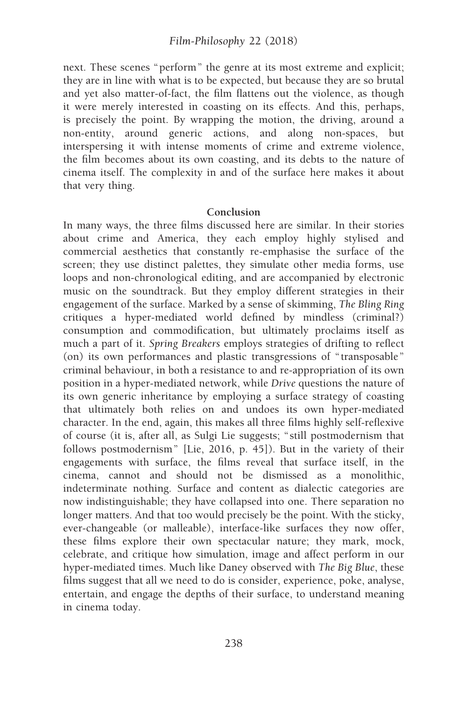next. These scenes "perform" the genre at its most extreme and explicit; they are in line with what is to be expected, but because they are so brutal and yet also matter-of-fact, the film flattens out the violence, as though it were merely interested in coasting on its effects. And this, perhaps, is precisely the point. By wrapping the motion, the driving, around a non-entity, around generic actions, and along non-spaces, but interspersing it with intense moments of crime and extreme violence, the film becomes about its own coasting, and its debts to the nature of cinema itself. The complexity in and of the surface here makes it about that very thing.

#### Conclusion

In many ways, the three films discussed here are similar. In their stories about crime and America, they each employ highly stylised and commercial aesthetics that constantly re-emphasise the surface of the screen; they use distinct palettes, they simulate other media forms, use loops and non-chronological editing, and are accompanied by electronic music on the soundtrack. But they employ different strategies in their engagement of the surface. Marked by a sense of skimming, The Bling Ring critiques a hyper-mediated world defined by mindless (criminal?) consumption and commodification, but ultimately proclaims itself as much a part of it. Spring Breakers employs strategies of drifting to reflect (on) its own performances and plastic transgressions of " transposable" criminal behaviour, in both a resistance to and re-appropriation of its own position in a hyper-mediated network, while Drive questions the nature of its own generic inheritance by employing a surface strategy of coasting that ultimately both relies on and undoes its own hyper-mediated character. In the end, again, this makes all three films highly self-reflexive of course (it is, after all, as Sulgi Lie suggests; " still postmodernism that follows postmodernism" [Lie, 2016, p. 45]). But in the variety of their engagements with surface, the films reveal that surface itself, in the cinema, cannot and should not be dismissed as a monolithic, indeterminate nothing. Surface and content as dialectic categories are now indistinguishable; they have collapsed into one. There separation no longer matters. And that too would precisely be the point. With the sticky, ever-changeable (or malleable), interface-like surfaces they now offer, these films explore their own spectacular nature; they mark, mock, celebrate, and critique how simulation, image and affect perform in our hyper-mediated times. Much like Daney observed with The Big Blue, these films suggest that all we need to do is consider, experience, poke, analyse, entertain, and engage the depths of their surface, to understand meaning in cinema today.